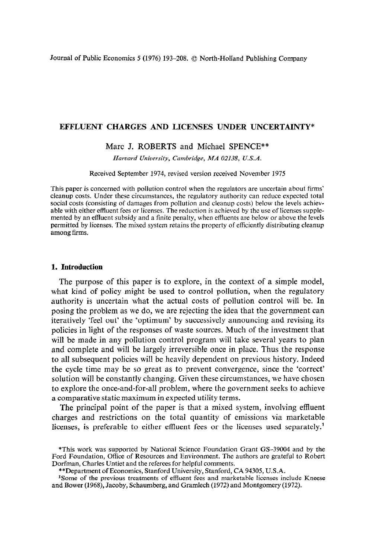Journal of Public Economics 5 (1976) 193–208. © North-Holland Publishing Company

### **EFFLUENT CHARGES AND LICENSES UNDER UNCERTAINTY\***

### Marc J. ROBERTS and Michael SPENCE\*\*

*Harvard University, Cambridge, MA 02138, U.S.A.* 

Received September 1974, revised version received November I975

This paper is concerned with pollution control when the regulators are uncertain about firms' cleanup costs. Under these circumstances, the regulatory authority can reduce expected total social costs (consisting of damages from pollution and cleanup costs) below the levels achievable with either effluent fees or licenses. The reduction is achieved by the use of licenses supplemented by an effluent subsidy and a finite penalty, when effluents are below or above the levels permitted by licenses. The mixed system retains the property of efficiently distributing cleanup among firms.

# **1. Introduction**

**The** purpose of this paper is to explore, in the context of a simple model, what kind of policy might be used to control pollution, when the regulatory authority is uncertain what the actual costs of pollution control will be. In posing the problem as we do, we are rejecting the idea that the government can iteratively 'feel out' the 'optimum' by successively announcing and revising its policies in light of the responses of waste sources. Much of the investment that will be made in any pollution control program will take several years to plan and complete and will be largely irreversible once in place. Thus the response to all subsequent policies will be heavily dependent on previous history. Indeed the cycle time may be so great as to prevent convergence, since the 'correct' solution will be constantly changing. Given these circumstances, we have chosen to explore the once-and-for-all problem, where the government seeks to achieve a comparative static maximum in expected utility terms.

The principal point of the paper is that a mixed system, involving effluent charges and restrictions on the total quantity of emissions via marketable licenses, is preferable to either effluent fees or the licenses used separately.'

<sup>\*</sup>This work was supported by National Science Foundation Grant GS-39004 and by the Ford Foundation, Office of Resources and Environment. The authors are grateful to Robert Dorfman, Charles Untiet and the referees for helpful comments.

<sup>\*\*</sup>Department of Economics, Stanford University, Stanford, CA 94305, U.S.A.

<sup>&#</sup>x27;Some of the previous treatments of effluent fees and marketable licenses include Kneese and Bower (1968), Jacoby, Schaumberg, and Gramlech (1972) and Montgomery (1972).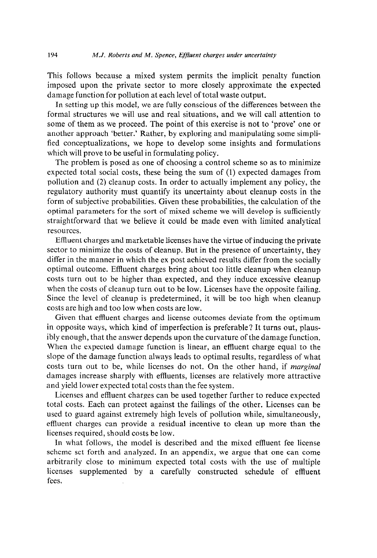This follows because a mixed system permits the implicit penalty function imposed upon the private sector to more closely approximate the expected damage function for pollution at each level of total waste output.

In setting up this model, we are fully conscious of the differences between the formal structures we will use and real situations, and we will call attention to some of them as we proceed. The point of this exercise is not to 'prove' one or another approach 'better.' Rather, by exploring and manipulating some simplified conceptualizations, we hope to develop some insights and formulations which will prove to be useful in formulating policy.

The problem is posed as one of choosing a control scheme so as to minimize expected total social costs, these being the sum of (1) expected damages from pollution and (2) cleanup costs. In order to actually implement any policy, the regulatory authority must quantify its uncertainty about cleanup costs in the form of subjective probabilities. Given these probabilities, the calculation of the optimal parameters for the sort of mixed scheme we will develop is sufficiently straightforward that we believe it could be made even with limited analytical resources.

Effluent charges and marketable licenses have the virtue of inducing the private sector to minimize the costs of cleanup. But in the presence of uncertainty, they differ in the manner in which the ex post achieved results differ from the socially optimal outcome. Effluent charges bring about too little cleanup when cleanup costs turn out to be higher than expected, and they induce excessive cleanup when the costs of cleanup turn out to be low. Licenses have the opposite failing. Since the level of cleanup is predetermined, it will be too high when cleanup costs are high and too low when costs are low.

Given that effluent charges and license outcomes deviate from the optimum in opposite ways, which kind of imperfection is preferable? It turns out, plausibly enough, that the answer depends upon the curvature of the damage function. When the expected damage function is linear, an effluent charge equal to the slope of the damage function always leads to optimal results, regardless of what costs turn out to be, while licenses do not. On the other hand, if *marginal*  damages increase sharply with effluents, licenses are relatively more attractive and yield lower expected total costs than the fee system.

Licenses and effluent charges can be used together further to reduce expected total costs. Each can protect against the failings of the other. Licenses can be used to guard against extremely high levels of pollution while, simultaneously, effluent charges can provide a residual incentive to clean up more than the licenses required, should costs be low.

In what follows, the model is described and the mixed effluent fee license scheme set forth and analyzed. In an appendix, we argue that one can come arbitrarily close to minimum expected total costs with the use of multiple licenses supplemented by a carefully constructed schedule of effluent fees.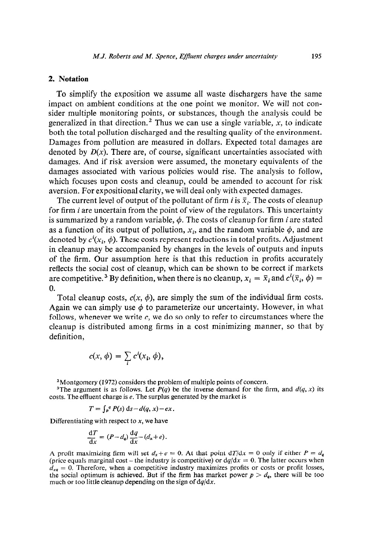### **2. Notation**

**To** simplify the exposition we assume all waste dischargers have the same impact on ambient conditions at the one point we monitor. We will not consider multiple monitoring points, or substances, though the analysis could be generalized in that direction.<sup>2</sup> Thus we can use a single variable, x, to indicate both the total pollution discharged and the resulting quality of the environment. Damages from pollution are measured in dollars. Expected total damages are denoted by  $D(x)$ . There are, of course, significant uncertainties associated with damages. And if risk aversion were assumed, the monetary equivalents of the damages associated with various policies would rise. The analysis to follow, which focuses upon costs and cleanup, could be amended to account for risk aversion. For expositional clarity, we will deal only with expected damages.

The current level of output of the pollutant of firm *i* is  $\bar{x}_i$ . The costs of cleanup for firm *i* are uncertain from the point of view of the regulators. This uncertainty is summarized by a random variable,  $\phi$ . The costs of cleanup for firm *i* are stated as a function of its output of pollution,  $x_i$ , and the random variable  $\phi$ , and are denoted by  $c^{i}(x_i, \phi)$ . These costs represent reductions in total profits. Adjustment in cleanup may be accompanied by changes in the levels of outputs and inputs of the firm, Our assumption here is that this reduction in profits accurately reflects the social cost of cleanup, which can be shown to be correct if markets are competitive.<sup>3</sup> By definition, when there is no cleanup,  $x_i = \bar{x}_i$  and  $c^i(\bar{x}_i, \phi) =$ 0.

Total cleanup costs,  $c(x, \phi)$ , are simply the sum of the individual firm costs. Again we can simply use  $\phi$  to parameterize our uncertainty. However, in what follows, whenever we write  $c$ , we do so only to refer to circumstances where the cleanup is distributed among firms in a cost minimizing manner, so that by definition,

$$
c(x, \phi) = \sum_i c^i(x_i, \phi),
$$

2Montgomery (1972) considers the problem of multiple points of concern.

<sup>3</sup>The argument is as follows. Let  $P(q)$  be the inverse demand for the firm, and  $d(q, x)$  its costs. The effluent charge is e. The surplus generated by the market is

$$
T=\int_{P}^{q} P(s) \,ds-d(q,x)-ex.
$$

Differentiating with respect to  $x$ , we have

$$
\frac{\mathrm{d}T}{\mathrm{d}x} = (P - d_{\mathfrak{q}}) \frac{\mathrm{d}q}{\mathrm{d}x} - (d_x + e).
$$

A profit maximizing firm will set  $d_x + e = 0$ . At that point  $dT/dx = 0$  only if either  $P = d_q$ (price equals marginal cost – the industry is competitive) or  $dq/dx = 0$ . The latter occurs when  $d_{xq} = 0$ . Therefore, when a competitive industry maximizes profits or costs or profit losses, the social optimum is achieved. But if the firm has market power  $p > d_q$ , there will be too much or *too* little cleanup depending on the sign of dq/dx.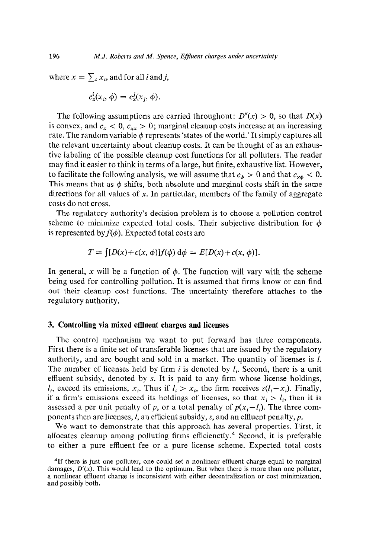where  $x = \sum_i x_i$ , and for all *i* and *j*,

$$
c_x^i(x_i, \phi) = c_x^j(x_j, \phi).
$$

The following assumptions are carried throughout:  $D''(x) > 0$ , so that  $D(x)$ is convex, and  $c_x < 0$ ,  $c_{xx} > 0$ ; marginal cleanup costs increase at an increasing rate. The random variable  $\phi$  represents 'states of the world.' It simply captures all the relevant uncertainty about cleanup costs. It can be thought of as an exhaustive labeling of the possible cleanup cost functions for all polluters. The reader may find it easier to think in terms of a large, but finite, exhaustive list. However, to facilitate the following analysis, we will assume that  $c_{\phi} > 0$  and that  $c_{x\phi} < 0$ . This means that as  $\phi$  shifts, both absolute and marginal costs shift in the same directions for all values of  $x$ . In particular, members of the family of aggregate costs do not cross.

The regulatory authority's decision problem is to choose a pollution control scheme to minimize expected total costs. Their subjective distribution for  $\phi$ is represented by  $f(\phi)$ . Expected total costs are

$$
T = \int [D(x) + c(x, \phi)] f(\phi) d\phi = E[D(x) + c(x, \phi)].
$$

In general, x will be a function of  $\phi$ . The function will vary with the scheme being used for controlling pollution. It is assumed that firms know or can find out their cleanup cost functions. The uncertainty therefore attaches to the regulatory authority.

## 3. **Controlling via mixed effluent charges and licenses**

The control mechanism we want to put forward has three components. First there is a finite set of transferable licenses that are issued by the regulatory authority, and are bought and sold in a market. The quantity of licenses is 1. The number of licenses held by firm  $i$  is denoted by  $l_i$ . Second, there is a unit effluent subsidy, denoted by s. It is paid to any firm whose license holdings,  $l_i$ , exceed its emissions,  $x_i$ . Thus if  $l_i > x_i$ , the firm receives  $s(l_i-x_i)$ . Finally, if a firm's emissions exceed its holdings of licenses, so that  $x_i > l_i$ , then it is assessed a per unit penalty of p, or a total penalty of  $p(x_i - l_i)$ . The three components then are licenses, *l*, an efficient subsidy, *s*, and an effluent penalty, *p*.

We want to demonstrate that this approach has several properties. First, it allocates cleanup among polluting firms efficienctly.<sup>4</sup> Second, it is preferable to either a pure effluent fee or a pure license scheme. Expected total costs

<sup>41</sup>f there is just one polluter, one could set a nonlinear effluent charge equal to marginal damages,  $D'(x)$ . This would lead to the optimum. But when there is more than one polluter, a nonlinear effluent charge is inconsistent with either decentralization or cost minimization, and possibly both.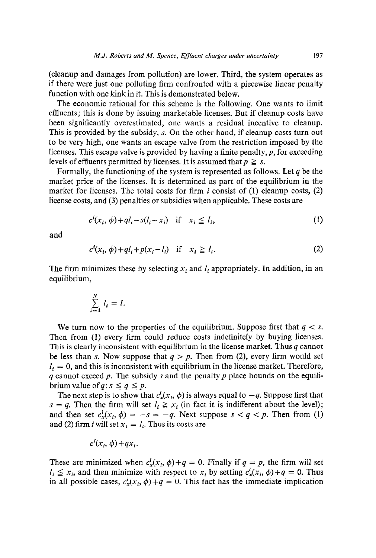(cleanup and damages from pollution) are lower. Third, the system operates as if there were just one polluting firm confronted with a piecewise linear penalty function with one kink in it. This is demonstrated below.

The economic rational for this scheme is the following. One wants to limit effluents; this is done by issuing marketable licenses. But if cleanup costs have been significantly overestimated, one wants a residual incentive to cleanup. This is provided by the subsidy, s. On the other hand, if cleanup costs turn out to be very high, one wants an escape valve from the restriction imposed by the licenses. This escape valve is provided by having a finite penalty, *p,* for exceeding levels of effluents permitted by licenses. It is assumed that  $p \geq s$ .

Formally, the functioning of the system is represented as follows. Let *q* be the market price of the licenses. It is determined as part of the equilibrium in the market for licenses. The total costs for firm  $i$  consist of  $(1)$  cleanup costs,  $(2)$ license costs, and (3) penalties or subsidies when applicable. These costs are

$$
c^i(x_i, \phi) + ql_i - s(l_i - x_i) \quad \text{if} \quad x_i \leq l_i,\tag{1}
$$

and

$$
c^{i}(x_{i}, \phi) + ql_{i} + p(x_{i} - l_{i}) \quad \text{if} \quad x_{i} \ge l_{i}.
$$
 (2)

The firm minimizes these by selecting  $x_i$  and  $I_i$  appropriately. In addition, in an equilibrium,

$$
\sum_{i=1}^{N} l_i = l.
$$

We turn now to the properties of the equilibrium. Suppose first that  $q < s$ . Then from (1) every firm could reduce costs indefinitely by buying licenses. This is clearly inconsistent with equilibrium in the license market. Thus *q* cannot be less than *s*. Now suppose that  $q > p$ . Then from (2), every firm would set  $I_i = 0$ , and this is inconsistent with equilibrium in the license market. Therefore, *q* cannot exceed *p.* The subsidy s and the penalty *p* place bounds on the equilibrium value of  $q: s \leq q \leq p$ .

The next step is to show that  $c_x^i(x_i, \phi)$  is always equal to  $-q$ . Suppose first that  $s = q$ . Then the firm will set  $l_i \geq x_i$  (in fact it is indifferent about the level); and then set  $c_x^i(x_i, \phi) = -s = -q$ . Next suppose  $s < q < p$ . Then from (1) and (2) firm *i* will set  $x_i = l_i$ . Thus its costs are

$$
c^i(x_i, \phi) + qx_i.
$$

These are minimized when  $c_x^i(x_i, \phi) + q = 0$ . Finally if  $q = p$ , the firm will set  $Z_i \leq x_i$ , and then minimize with respect to  $x_i$  by setting  $c_x(x_i, \phi) + q = 0$ . Thus in all possible cases,  $c_x^{\dagger}(x_i, \phi) + q = 0$ . This fact has the immediate implication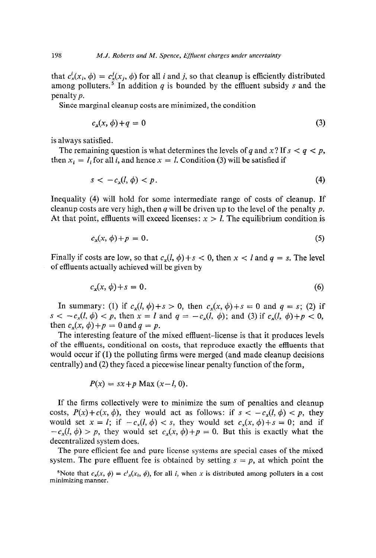that  $c_x^i(x_i, \phi) = c_x^i(x_i, \phi)$  for all *i* and *j*, so that cleanup is efficiently distributed among polluters.<sup>5</sup> In addition q is bounded by the effluent subsidy s and the penalty  $p$ .

Since marginal cleanup costs are minimized, the condition

$$
c_x(x, \phi) + q = 0 \tag{3}
$$

is always satisfied.

The remaining question is what determines the levels of *q* and  $x$ ? If  $s < q < p$ , then  $x_i = l_i$  for all *i*, and hence  $x = l$ . Condition (3) will be satisfied if

$$
s < -c_x(l, \phi) < p. \tag{4}
$$

Inequality (4) will hold for some intermediate range of costs of cleanup. If cleanup costs are very high, then *q* will be driven up to the level of the penalty *p.*  At that point, effluents will exceed licenses:  $x > l$ . The equilibrium condition is

$$
c_x(x, \phi) + p = 0. \tag{5}
$$

Finally if costs are low, so that  $c_x(l, \phi) + s < 0$ , then  $x < l$  and  $q = s$ . The level of effluents actually achieved will be given by

$$
c_x(x,\phi)+s=0.\tag{6}
$$

In summary: (1) if  $c_x(l, \phi) + s > 0$ , then  $c_x(x, \phi) + s = 0$  and  $q = s$ ; (2) if  $s < -c_x(l, \phi) < p$ , then  $x = l$  and  $q = -c_x(l, \phi)$ ; and (3) if  $c_x(l, \phi) + p < 0$ , then  $c_x(x, \phi) + p = 0$  and  $q = p$ .

The interesting feature of the mixed effluent-license is that it produces levels of the effluents, conditional on costs, that reproduce exactly the effluents that would occur if (1) the polluting firms were merged (and made cleanup decisions centrally) and (2) they faced a piecewise linear penalty function of the form,

$$
P(x) = sx + p \text{ Max } (x - l, 0).
$$

If the firms collectively were to minimize the sum of penalties and cleanup costs,  $P(x) + c(x, \phi)$ , they would act as follows: if  $s < -c_x(l, \phi) < p$ , they would set  $x = l$ ; if  $-c_x(l, \phi) < s$ , they would set  $c_x(x, \phi) + s = 0$ ; and if  $-c_x(l, \phi) > p$ , they would set  $c_x(x, \phi) + p = 0$ . But this is exactly what the decentralized system does.

The pure efficient fee and pure license systems are special cases of the mixed system. The pure effluent fee is obtained by setting  $s = p$ , at which point the

<sup>5</sup>Note that  $c_x(x, \phi) = c_x^i(x_i, \phi)$ , for all *i*, when x is distributed among polluters in a cost minimizing manner.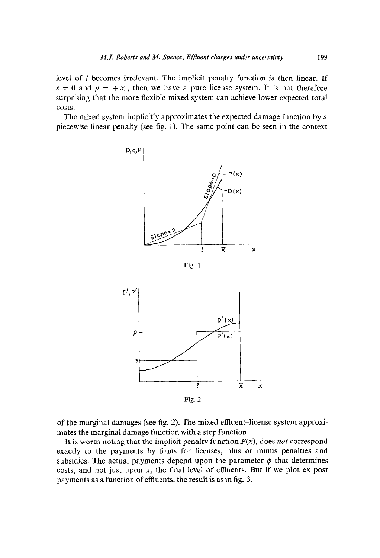level of *1* becomes irrelevant. The implicit penalty function is then linear. If  $s = 0$  and  $p = +\infty$ , then we have a pure license system. It is not therefore surprising that the more flexible mixed system can achieve lower expected total costs.

The mixed system implicitly approximates the expected damage function by a piecewise linear penalty (see fig. 1). The same point can be seen in the context



Fig. 1



of the marginal damages (see fig. 2). The mixed effluent-license system approximates the marginal damage function with a step function.

It is worth noting that the implicit penalty function  $P(x)$ , does *not* correspond exactly to the payments by firms for licenses, plus or minus penalties and subsidies. The actual payments depend upon the parameter  $\phi$  that determines costs, and not just upon  $x$ , the final level of effluents. But if we plot ex post payments as a function of effluents, the result is as in fig. 3.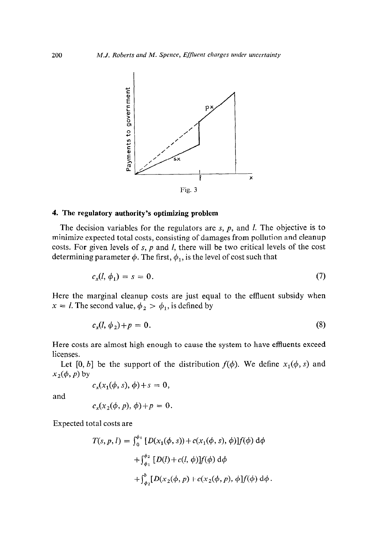

#### **4. The regulatory authority's optimizing problem**

The decision variables for the regulators are  $s$ ,  $p$ , and  $l$ . The objective is to minimize expected total costs, consisting of damages from pollution and cleanup costs. For given levels of  $s$ ,  $p$  and  $l$ , there will be two critical levels of the cost determining parameter  $\phi$ . The first,  $\phi_1$ , is the level of cost such that

$$
c_x(l, \phi_1) = s = 0. \tag{7}
$$

Here the marginal cleanup costs are just equal to the effluent subsidy when  $x = l$ . The second value,  $\phi_2 > \phi_1$ , is defined by

$$
c_x(l, \phi_2) + p = 0. \tag{8}
$$

Here costs are almost high enough to cause the system to have effluents exceed licenses.

Let [0, b] be the support of the distribution  $f(\phi)$ . We define  $x_1(\phi, s)$  and  $x_2(\phi, p)$  by

$$
c_x(x_1(\phi,s),\phi)+s=0,
$$

and

$$
c_x(x_2(\phi, p), \phi) + p = 0.
$$

Expected total costs are

$$
T(s, p, l) = \int_0^{\phi_1} [D(x_1(\phi, s)) + c(x_1(\phi, s), \phi)] f(\phi) d\phi
$$
  
+ 
$$
\int_{\phi_1}^{\phi_2} [D(l) + c(l, \phi)] f(\phi) d\phi
$$
  
+ 
$$
\int_{\phi_2}^b [D(x_2(\phi, p) + c(x_2(\phi, p), \phi)] f(\phi) d\phi.
$$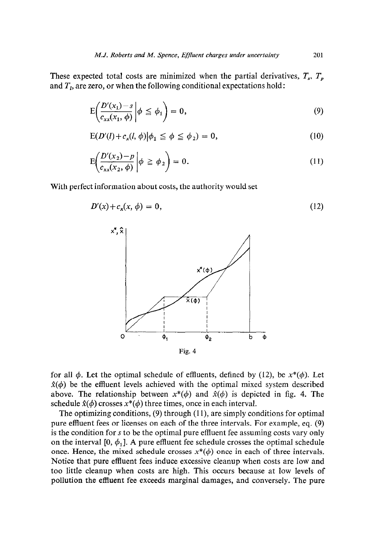These expected total costs are minimized when the partial derivatives,  $T_s$ ,  $T_p$ and  $T<sub>b</sub>$ , are zero, or when the following conditional expectations hold:

$$
E\left(\frac{D'(x_1)-s}{c_{xx}(x_1,\phi)}\middle|\phi\leq\phi_1\right)=0,
$$
\n(9)

$$
E(D'(l) + c_x(l, \phi) | \phi_1 \leq \phi \leq \phi_2) = 0,
$$
\n(10)

$$
E\left(\frac{D'(x_2)-p}{c_{xx}(x_2,\phi)}\middle|\phi\geq\phi_2\right)=0.
$$
\n(11)

With perfect information about costs, the authority would set

$$
D'(x) + c_x(x, \phi) = 0,\tag{12}
$$



for all  $\phi$ . Let the optimal schedule of effluents, defined by (12), be  $x^*(\phi)$ . Let  $x(\phi)$  be the effluent levels achieved with the optimal mixed system described above. The relationship between  $x^*(\phi)$  and  $\hat{x}(\phi)$  is depicted in fig. 4. The schedule  $\hat{x}(\phi)$  crosses  $x^*(\phi)$  three times, once in each interval.

The optimizing conditions,  $(9)$  through  $(11)$ , are simply conditions for optimal pure effluent fees or licenses on each of the three intervals. For example, eq. (9) is the condition for s to be the optimal pure effluent fee assuming costs vary only on the interval  $[0, \phi_1]$ . A pure effluent fee schedule crosses the optimal schedule once. Hence, the mixed schedule crosses  $x^*(\phi)$  once in each of three intervals. Notice that pure effluent fees induce excessive cleanup when costs are low and too little cleanup when costs are high. This occurs because at low levels of pollution the effluent fee exceeds marginal damages, and conversely. The pure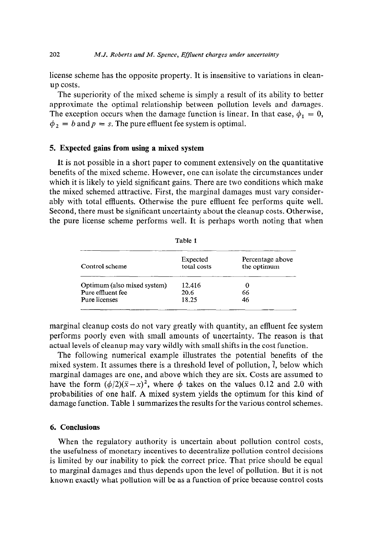license scheme has the opposite property. It is insensitive to variations in cleanup costs.

The superiority of the mixed scheme is simply a result of its ability to better approximate the optimal relationship between pollution levels and damages. The exception occurs when the damage function is linear. In that case,  $\phi_1 = 0$ ,  $\phi_2 = b$  and  $p = s$ . The pure effluent fee system is optimal.

## **5. Expected gains from using a mixed system**

It is not possible in a short paper to comment extensively on the quantitative benefits of the mixed scheme. However, one can isolate the circumstances under which it is likely to yield significant gains. There are two conditions which make the mixed schemed attractive. First, the marginal damages must vary considerably with total effluents. Otherwise the pure effluent fee performs quite well. Second, there must be significant uncertainty about the cleanup costs. Otherwise, the pure license scheme performs well. It is perhaps worth noting that when

| Table 1                     |                         |                                 |
|-----------------------------|-------------------------|---------------------------------|
| Control scheme              | Expected<br>total costs | Percentage above<br>the optimum |
| Optimum (also mixed system) | 12.416                  | 0                               |
| Pure effluent fee           | 20.6                    | 66                              |
| Pure licenses               | 18.25                   | 46                              |

marginal cleanup costs do not vary greatly with quantity, an effluent fee system performs poorly even with small amounts of uncertainty. The reason is that actual levels of cleanup may vary wildly with small shifts in the cost function.

The following numerical example illustrates the potential benefits of the mixed system. It assumes there is a threshold level of pollution, 1, below which marginal damages are one, and above which they are six. Costs are assumed to have the form  $(\phi/2)(\bar{x}-x)^2$ , where  $\phi$  takes on the values 0.12 and 2.0 with probabilities of one half. A mixed system yields the optimum for this kind of damage function. Table 1 summarizes the results for the various control schemes.

### **6. Conclusions**

When the regulatory authority is uncertain about pollution control costs, the usefulness of monetary incentives to decentralize pollution control decisions is limited by our inability to pick the correct price. That price should be equal to marginal damages and thus depends upon the level of pollution. But it is not known exactly what pollution will be as a function of price because control costs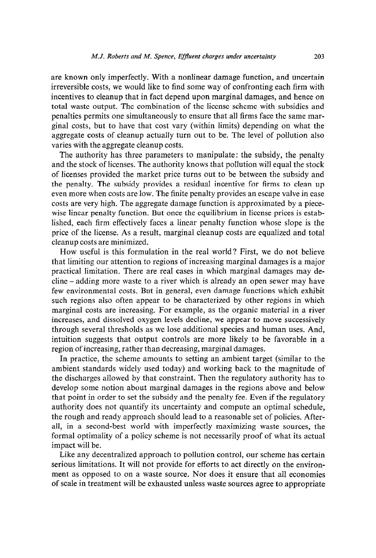are known only imperfectly. With a nonlinear damage function, and uncertain irreversible costs, we would like to find some way of confronting each firm with incentives to cleanup that in fact depend upon marginal damages, and hence on total waste output. The combination of the license scheme with subsidies and penalties permits one simultaneously to ensure that all firms face the same marginal costs, but to have that cost vary (within limits) depending on what the aggregate costs of cleanup actually turn out to be. The level of pollution also varies with the aggregate cleanup costs.

The authority has three parameters to manipulate: the subsidy, the penalty and the stock of licenses. The authority knows that pollution will equal the stock of licenses provided the market price turns out to be between the subsidy and the penalty. The subsidy provides a residual incentive for firms to clean up even more when costs are low. The finite penalty provides an escape valve in case costs are very high. The aggregate damage function is approximated by a piecewise linear penalty function. But once the equilibrium in license prices is established, each firm effectively faces a linear penalty function whose slope is the price of the license. As a result, marginal cleanup costs are equalized and total cleanup costs are minimized.

How useful is this formulation in the real world? First, we do not believe that limiting our attention to regions of increasing marginal damages is a major practical limitation. There are real cases in which marginal damages may decline - adding more waste to a river which is already an open sewer may have few environmental costs. But in general, even damage functions which exhibit such regions also often appear to be characterized by other regions in which marginal costs are increasing. For example, as the organic material in a river increases, and dissolved oxygen levels decline, we appear to move successively through several thresholds as we lose additional species and human uses. And, intuition suggests that output controls are more likely to be favorable in a region of increasing, rather than decreasing, marginal damages.

In practice, the scheme amounts to setting an ambient target (similar to the ambient standards widely used today) and working back to the magnitude of the discharges allowed by that constraint. Then the regulatory authority has to develop some notion about marginal damages in the regions above and below that point in order to set the subsidy and the penalty fee. Even if the regulatory authority does not quantify its uncertainty and compute an optimal schedule, the rough and ready approach should lead to a reasonable set of policies. Afterall, in a second-best world with imperfectly maximizing waste sources, the formal optimality of a policy scheme is not necessarily proof of what its actual impact will be.

Like any decentralized approach to pollution control, our scheme has certain serious limitations. It will not provide for efforts to act directly on the environment as opposed to on a waste source. Nor does it ensure that all economies of scale in treatment will be exhausted unless waste sources agree to appropriate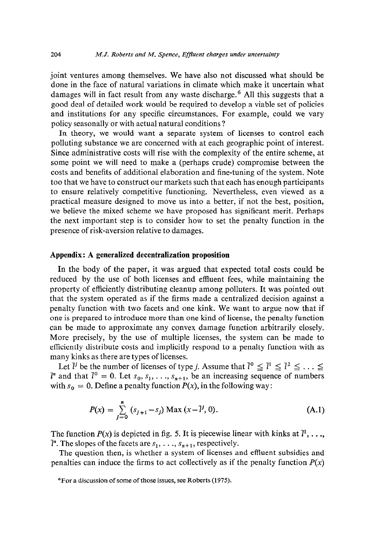joint ventures among themselves. We have also not discussed what should be done in the face of natural variations in climate which make it uncertain what damages will in fact result from any waste discharge.<sup>6</sup> All this suggests that a good deal of detailed work would be required to develop a viable set of policies and institutions for any specific circumstances. For example, could we vary policy seasonally or with actual natural conditions?

In theory, we would want a separate system of licenses to control each polluting substance we are concerned with at each geographic point of interest. Since administrative costs will rise with the complexity of the entire scheme, at some point we will need to make a (perhaps crude) compromise between the costs and benefits of additional elaboration and fine-tuning of the system. Note too that we have to construct our markets such that each has enough participants to ensure relatively competitive functioning. Nevertheless, even viewed as a practical measure designed to move us into a better, if not the best, position, we believe the mixed scheme we have proposed has significant merit. Perhaps the next important step is to consider how to set the penalty function in the presence of risk-aversion relative to damages.

### **Appendix: A generalized decentralization proposition**

In the body of the paper, it was argued that expected total costs could be reduced by the use of both licenses and effluent fees, while maintaining the property of efficiently distributing cleanup among polluters. It was pointed out that the system operated as if the firms made a centralized decision against a penalty function with two facets and one kink. We want to argue now that if one is prepared to introduce more than one kind of license, the penalty function can be made to approximate any convex damage function arbitrarily closely. More precisely, by the use of multiple licenses, the system can be made to efficiently distribute costs and implicitly respond to a penalty function with as many kinks as there are types of licenses.

Let  $\bar{l}^j$  be the number of licenses of type *j*. Assume that  $\bar{l}^0 \leq \bar{l}^1 \leq \bar{l}^2 \leq \ldots \leq$  $l<sup>n</sup>$  and that  $l<sup>0</sup> = 0$ . Let  $s<sub>0</sub>, s<sub>1</sub>, ..., s<sub>n+1</sub>$ , be an increasing sequence of numbers with  $s_0 = 0$ . Define a penalty function  $P(x)$ , in the following way:

$$
P(x) = \sum_{j=0}^{n} (s_{j+1} - s_j) \text{ Max } (x - \mathcal{V}, 0).
$$
 (A.1)

The function  $P(x)$  is depicted in fig. 5. It is piecewise linear with kinks at  $l^1, \ldots$ ,  $\bar{l}^n$ . The slopes of the facets are  $s_1, \ldots, s_{n+1}$ , respectively.

The question then, is whether a system of licenses and effluent subsidies and penalties can induce the firms to act collectively as if the penalty function  $P(x)$ 

<sup>6</sup>For a discussion of some of those issues, see Roberts (1975).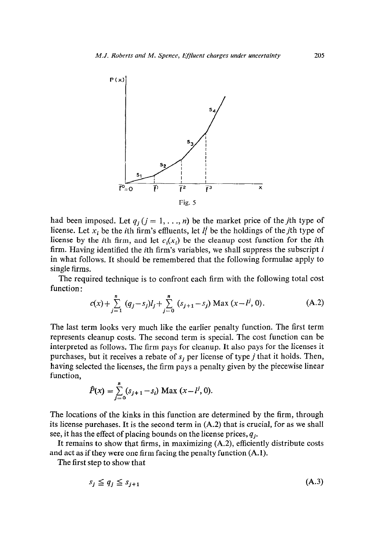

had been imposed. Let  $q_j$  ( $j = 1, ..., n$ ) be the market price of the *j*th type of license. Let  $x_i$  be the *i*th firm's effluents, let  $l_i$  be the holdings of the *j*th type of license by the *i*th firm, and let  $c_i(x_i)$  be the cleanup cost function for the *i*th firm. Having identified the ith firm's variables, we shall suppress the subscript *i*  in what follows. It should be remembered that the following formulae apply to single firms.

The required technique is to confront each firm with the following total cost function:

$$
c(x) + \sum_{j=1}^{n} (q_j - s_j)l_j + \sum_{j=0}^{n} (s_{j+1} - s_j) \text{ Max } (x - l^j, 0).
$$
 (A.2)

The last term looks very much like the earlier penalty function. The first term represents cleanup costs. The second term is special. The cost function can be interpreted as follows. The firm pays for cleanup. It also pays for the licenses it purchases, but it receives a rebate of  $s_j$  per license of type *j* that it holds. Then, having selected the licenses, the firm pays a penalty given by the piecewise linear function,

$$
\hat{P}(x) = \sum_{j=0}^{n} (s_{j+1} - s_i) \text{ Max } (x - l^j, 0).
$$

The locations of the kinks in this function are determined by the firm, through its license purchases. It is the second term in (A.2) that is crucial, for as we shall see, it has the effect of placing bounds on the license prices,  $q_i$ .

It remains to show that firms, in maximizing (A.2), efficiently distribute costs and act as if they were one firm facing the penalty function (A. 1).

The first step to show that

$$
s_j \leq q_j \leq s_{j+1} \tag{A.3}
$$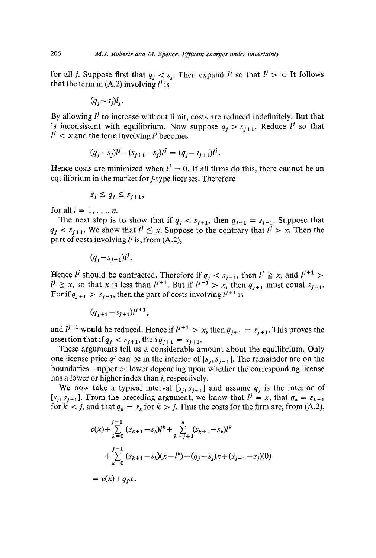for all *j*. Suppose first that  $q_i < s_i$ . Then expand  $l^j$  so that  $l^j > x$ . It follows that the term in (A.2) involving  $l^j$  is

$$
(q_j - s_j)l_j.
$$

By allowing  $l^j$  to increase without limit, costs are reduced indefinitely. But that is inconsistent with equilibrium. Now suppose  $q_i > s_{i+1}$ . Reduce  $l^j$  so that  $l^j < x$  and the term involving  $l^j$  becomes

$$
(q_j - s_j)l^j - (s_{j+1} - s_j)l^j = (q_j - s_{j+1})l^j.
$$

Hence costs are minimized when  $l^j = 0$ . If all firms do this, there cannot be an equilibrium in the market for *j*-type licenses. Therefore

$$
s_j \leq q_j \leq s_{j+1},
$$

for all  $j = 1, \ldots, n$ .

The next step is to show that if  $q_i < s_{i+1}$ , then  $q_{i+1} = s_{i+1}$ . Suppose that  $q_j < s_{j+1}$ . We show that  $l^j \leq x$ . Suppose to the contrary that  $l^j > x$ . Then the part of costs involving  $l^j$  is, from (A.2),

$$
(q_j - s_{j+1})l^j.
$$

Hence  $l'$  should be contracted. Therefore if  $q_i < s_{i+1}$ , then  $l' \geq x$ , and  $l^{j+1} >$  $L^1 \geq x$ , so that x is less than  $L^{j+1}$ . But if  $L^{j+1} > x$ , then  $q_{j+1}$  must equal  $s_{j+1}$ . For if  $q_{i+1} > s_{i+1}$ , then the part of costs involving  $l^{j+1}$  is

$$
(q_{j+1}-s_{j+1})l^{j+1},
$$

and  $l^{j+1}$  would be reduced. Hence if  $l^{j+1} > x$ , then  $q_{i+1} = s_{i+1}$ . This proves the assertion that if  $q_j < s_{j+1}$ , then  $q_{j+1} = s_{j+1}$ .

These arguments tell us a considerable amount about the equilibrium. Only one license price  $q^{j}$  can be in the interior of [ $s_j$ ,  $s_{j+1}$ ]. The remainder are on the boundaries - upper or lower depending upon whether the corresponding license has a lower or higher index than *j*, respectively.

We now take a typical interval  $[s_j, s_{j+1}]$  and assume  $q_j$  is the interior of  $[s_j, s_{j+1}]$ . From the preceding argument, we know that  $l^j = x$ , that  $q_k = s_{k+1}$ for  $k < j$ , and that  $q_k = s_k$  for  $k > j$ . Thus the costs for the firm are, from (A.2),

$$
c(x) + \sum_{k=0}^{j-1} (s_{k+1} - s_k)l^k + \sum_{k=j+1}^n (s_{k+1} - s_k)l^k
$$
  
+ 
$$
\sum_{k=0}^{j-1} (s_{k+1} - s_k)(x - l^k) + (q_j - s_j)x + (s_{j+1} - s_j)(0)
$$
  
= 
$$
c(x) + q_jx.
$$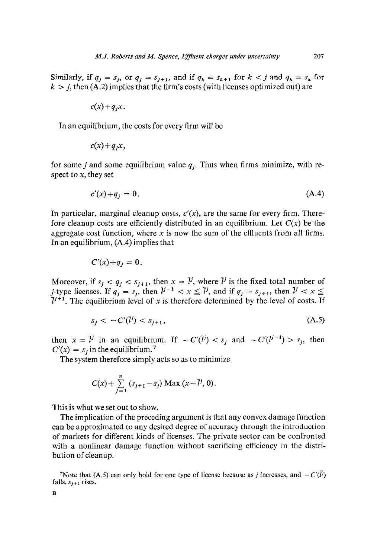Similarly, if  $q_j = s_j$ , or  $q_j = s_{j+1}$ , and if  $q_k = s_{k+1}$  for  $k < j$  and  $q_k = s_k$  for  $k > j$ , then (A.2) implies that the firm's costs (with licenses optimized out) are

$$
c(x)+q_jx.
$$

In an equilibrium, the costs for every firm will be

$$
c(x)+q_jx,
$$

for some j and some equilibrium value  $q_i$ . Thus when firms minimize, with respect to  $x$ , they set

$$
c'(x) + q_j = 0. \tag{A.4}
$$

In particular, marginal cleanup costs,  $c'(x)$ , are the same for every firm. Therefore cleanup costs are efficiently distributed in an equilibrium. Let  $C(x)$  be the aggregate cost function, where  $x$  is now the sum of the effluents from all firms. In an equilibrium, (A.4) implies that

$$
C'(x)+q_i=0.
$$

Moreover, if  $s_i < q_i < s_{i+1}$ , then  $x = l'$ , where l is the fixed total number of *j*-type licenses. If  $q_i = s_i$ , then  $l^{j-1} < x \leq l^j$ , and if  $q_i = s_{i+1}$ , then  $l^j < x \leq l^j$  $l^{j+1}$ . The equilibrium level of x is therefore determined by the level of costs. If

$$
s_j < -C'(l^j) < s_{j+1},\tag{A.5}
$$

then  $x = \mathcal{V}$  in an equilibrium. If  $-C'(\mathcal{V}) < s_j$  and  $-C'(\mathcal{V}) > s_j$ , then  $C'(x) = s_i$  in the equilibrium.<sup>7</sup>

The system therefore simply acts so as to minimize

$$
C(x) + \sum_{j=1}^{n} (s_{j+1} - s_j) \text{ Max } (x - \bar{l}^j, 0).
$$

This is what we set out to show.

The implication of the preceding argument is that any convex damage function can be approximated to any desired degree of accuracy through the introduction of markets for different kinds of licenses. The private sector can be confronted with a nonlinear damage function without sacrificing efficiency in the distribution of cleanup.

<sup>7</sup>Note that (A.5) can only hold for one type of license because as j increases, and  $-C(\bar{l}^j)$ falls,  $s_{j+1}$  rises.